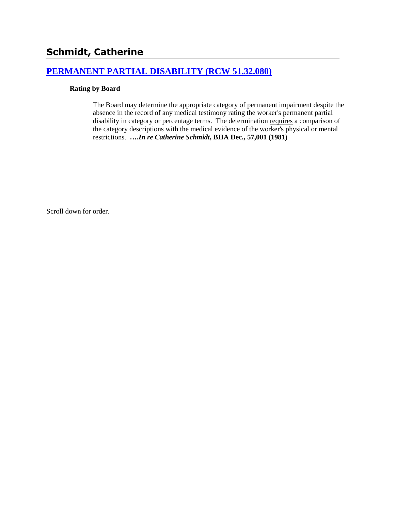# **[PERMANENT PARTIAL DISABILITY \(RCW 51.32.080\)](http://www.biia.wa.gov/SDSubjectIndex.html#PERMANENT_PARTIAL_DISABILITY)**

#### **Rating by Board**

The Board may determine the appropriate category of permanent impairment despite the absence in the record of any medical testimony rating the worker's permanent partial disability in category or percentage terms. The determination requires a comparison of the category descriptions with the medical evidence of the worker's physical or mental restrictions. **….***In re Catherine Schmidt***, BIIA Dec., 57,001 (1981)**

Scroll down for order.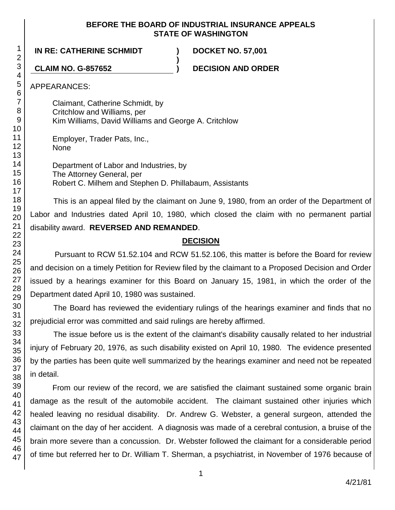#### **BEFORE THE BOARD OF INDUSTRIAL INSURANCE APPEALS STATE OF WASHINGTON**

**)**

**IN RE: CATHERINE SCHMIDT ) DOCKET NO. 57,001**

**CLAIM NO. G-857652 ) DECISION AND ORDER**

APPEARANCES:

Claimant, Catherine Schmidt, by Critchlow and Williams, per Kim Williams, David Williams and George A. Critchlow

Employer, Trader Pats, Inc., None

Department of Labor and Industries, by The Attorney General, per Robert C. Milhem and Stephen D. Phillabaum, Assistants

This is an appeal filed by the claimant on June 9, 1980, from an order of the Department of Labor and Industries dated April 10, 1980, which closed the claim with no permanent partial disability award. **REVERSED AND REMANDED**.

#### **DECISION**

Pursuant to RCW 51.52.104 and RCW 51.52.106, this matter is before the Board for review and decision on a timely Petition for Review filed by the claimant to a Proposed Decision and Order issued by a hearings examiner for this Board on January 15, 1981, in which the order of the Department dated April 10, 1980 was sustained.

The Board has reviewed the evidentiary rulings of the hearings examiner and finds that no prejudicial error was committed and said rulings are hereby affirmed.

The issue before us is the extent of the claimant's disability causally related to her industrial injury of February 20, 1976, as such disability existed on April 10, 1980. The evidence presented by the parties has been quite well summarized by the hearings examiner and need not be repeated in detail.

From our review of the record, we are satisfied the claimant sustained some organic brain damage as the result of the automobile accident. The claimant sustained other injuries which healed leaving no residual disability. Dr. Andrew G. Webster, a general surgeon, attended the claimant on the day of her accident. A diagnosis was made of a cerebral contusion, a bruise of the brain more severe than a concussion. Dr. Webster followed the claimant for a considerable period of time but referred her to Dr. William T. Sherman, a psychiatrist, in November of 1976 because of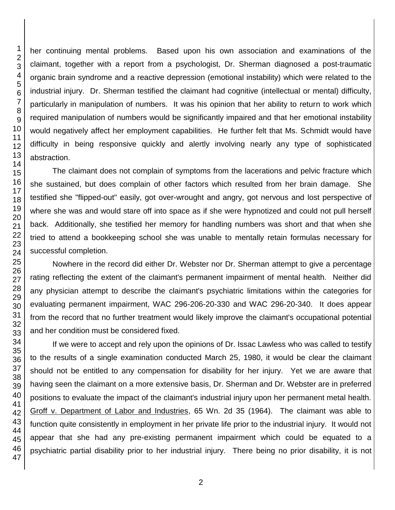her continuing mental problems. Based upon his own association and examinations of the claimant, together with a report from a psychologist, Dr. Sherman diagnosed a post-traumatic organic brain syndrome and a reactive depression (emotional instability) which were related to the industrial injury. Dr. Sherman testified the claimant had cognitive (intellectual or mental) difficulty, particularly in manipulation of numbers. It was his opinion that her ability to return to work which required manipulation of numbers would be significantly impaired and that her emotional instability would negatively affect her employment capabilities. He further felt that Ms. Schmidt would have difficulty in being responsive quickly and alertly involving nearly any type of sophisticated abstraction.

The claimant does not complain of symptoms from the lacerations and pelvic fracture which she sustained, but does complain of other factors which resulted from her brain damage. She testified she "flipped-out" easily, got over-wrought and angry, got nervous and lost perspective of where she was and would stare off into space as if she were hypnotized and could not pull herself back. Additionally, she testified her memory for handling numbers was short and that when she tried to attend a bookkeeping school she was unable to mentally retain formulas necessary for successful completion.

Nowhere in the record did either Dr. Webster nor Dr. Sherman attempt to give a percentage rating reflecting the extent of the claimant's permanent impairment of mental health. Neither did any physician attempt to describe the claimant's psychiatric limitations within the categories for evaluating permanent impairment, WAC 296-206-20-330 and WAC 296-20-340. It does appear from the record that no further treatment would likely improve the claimant's occupational potential and her condition must be considered fixed.

If we were to accept and rely upon the opinions of Dr. Issac Lawless who was called to testify to the results of a single examination conducted March 25, 1980, it would be clear the claimant should not be entitled to any compensation for disability for her injury. Yet we are aware that having seen the claimant on a more extensive basis, Dr. Sherman and Dr. Webster are in preferred positions to evaluate the impact of the claimant's industrial injury upon her permanent metal health. Groff v. Department of Labor and Industries, 65 Wn. 2d 35 (1964). The claimant was able to function quite consistently in employment in her private life prior to the industrial injury. It would not appear that she had any pre-existing permanent impairment which could be equated to a psychiatric partial disability prior to her industrial injury. There being no prior disability, it is not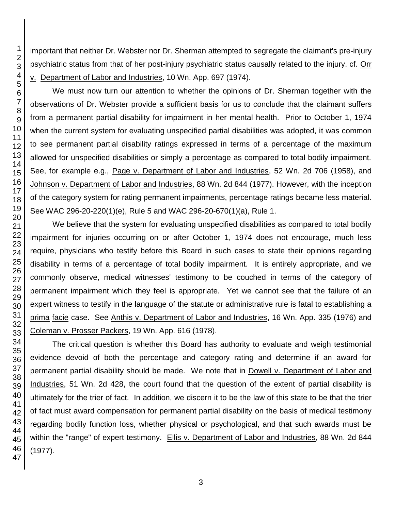important that neither Dr. Webster nor Dr. Sherman attempted to segregate the claimant's pre-injury psychiatric status from that of her post-injury psychiatric status causally related to the injury. cf. Orr v. Department of Labor and Industries, 10 Wn. App. 697 (1974).

We must now turn our attention to whether the opinions of Dr. Sherman together with the observations of Dr. Webster provide a sufficient basis for us to conclude that the claimant suffers from a permanent partial disability for impairment in her mental health. Prior to October 1, 1974 when the current system for evaluating unspecified partial disabilities was adopted, it was common to see permanent partial disability ratings expressed in terms of a percentage of the maximum allowed for unspecified disabilities or simply a percentage as compared to total bodily impairment. See, for example e.g., Page v. Department of Labor and Industries, 52 Wn. 2d 706 (1958), and Johnson v. Department of Labor and Industries, 88 Wn. 2d 844 (1977). However, with the inception of the category system for rating permanent impairments, percentage ratings became less material. See WAC 296-20-220(1)(e), Rule 5 and WAC 296-20-670(1)(a), Rule 1.

We believe that the system for evaluating unspecified disabilities as compared to total bodily impairment for injuries occurring on or after October 1, 1974 does not encourage, much less require, physicians who testify before this Board in such cases to state their opinions regarding disability in terms of a percentage of total bodily impairment. It is entirely appropriate, and we commonly observe, medical witnesses' testimony to be couched in terms of the category of permanent impairment which they feel is appropriate. Yet we cannot see that the failure of an expert witness to testify in the language of the statute or administrative rule is fatal to establishing a prima facie case. See Anthis v. Department of Labor and Industries, 16 Wn. App. 335 (1976) and Coleman v. Prosser Packers, 19 Wn. App. 616 (1978).

The critical question is whether this Board has authority to evaluate and weigh testimonial evidence devoid of both the percentage and category rating and determine if an award for permanent partial disability should be made. We note that in Dowell v. Department of Labor and Industries, 51 Wn. 2d 428, the court found that the question of the extent of partial disability is ultimately for the trier of fact. In addition, we discern it to be the law of this state to be that the trier of fact must award compensation for permanent partial disability on the basis of medical testimony regarding bodily function loss, whether physical or psychological, and that such awards must be within the "range" of expert testimony. Ellis v. Department of Labor and Industries, 88 Wn. 2d 844 (1977).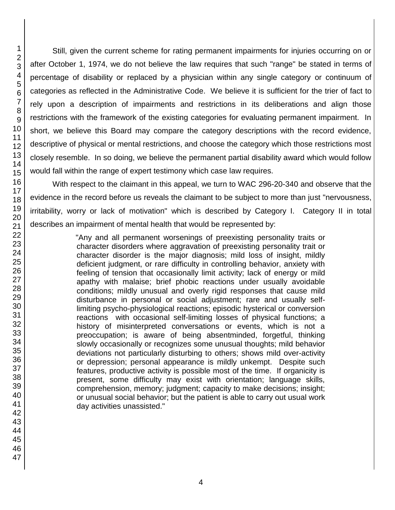Still, given the current scheme for rating permanent impairments for injuries occurring on or after October 1, 1974, we do not believe the law requires that such "range" be stated in terms of percentage of disability or replaced by a physician within any single category or continuum of categories as reflected in the Administrative Code. We believe it is sufficient for the trier of fact to rely upon a description of impairments and restrictions in its deliberations and align those restrictions with the framework of the existing categories for evaluating permanent impairment. In short, we believe this Board may compare the category descriptions with the record evidence, descriptive of physical or mental restrictions, and choose the category which those restrictions most closely resemble. In so doing, we believe the permanent partial disability award which would follow would fall within the range of expert testimony which case law requires.

With respect to the claimant in this appeal, we turn to WAC 296-20-340 and observe that the evidence in the record before us reveals the claimant to be subject to more than just "nervousness, irritability, worry or lack of motivation" which is described by Category I. Category II in total describes an impairment of mental health that would be represented by:

> "Any and all permanent worsenings of preexisting personality traits or character disorders where aggravation of preexisting personality trait or character disorder is the major diagnosis; mild loss of insight, mildly deficient judgment, or rare difficulty in controlling behavior, anxiety with feeling of tension that occasionally limit activity; lack of energy or mild apathy with malaise; brief phobic reactions under usually avoidable conditions; mildly unusual and overly rigid responses that cause mild disturbance in personal or social adjustment; rare and usually selflimiting psycho-physiological reactions; episodic hysterical or conversion reactions with occasional self-limiting losses of physical functions; a history of misinterpreted conversations or events, which is not a preoccupation; is aware of being absentminded, forgetful, thinking slowly occasionally or recognizes some unusual thoughts; mild behavior deviations not particularly disturbing to others; shows mild over-activity or depression; personal appearance is mildly unkempt. Despite such features, productive activity is possible most of the time. If organicity is present, some difficulty may exist with orientation; language skills, comprehension, memory; judgment; capacity to make decisions; insight; or unusual social behavior; but the patient is able to carry out usual work day activities unassisted."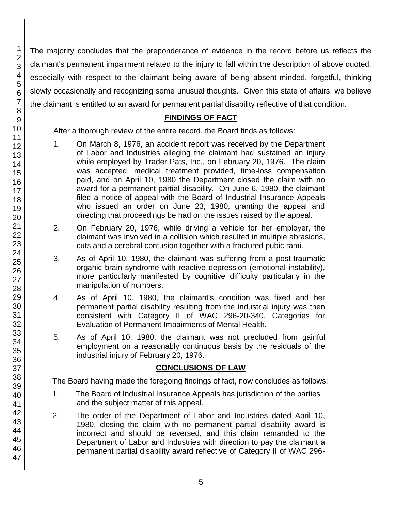45 46 47

The majority concludes that the preponderance of evidence in the record before us reflects the claimant's permanent impairment related to the injury to fall within the description of above quoted, especially with respect to the claimant being aware of being absent-minded, forgetful, thinking slowly occasionally and recognizing some unusual thoughts. Given this state of affairs, we believe the claimant is entitled to an award for permanent partial disability reflective of that condition.

#### **FINDINGS OF FACT**

After a thorough review of the entire record, the Board finds as follows:

- 1. On March 8, 1976, an accident report was received by the Department of Labor and Industries alleging the claimant had sustained an injury while employed by Trader Pats, Inc., on February 20, 1976. The claim was accepted, medical treatment provided, time-loss compensation paid, and on April 10, 1980 the Department closed the claim with no award for a permanent partial disability. On June 6, 1980, the claimant filed a notice of appeal with the Board of Industrial Insurance Appeals who issued an order on June 23, 1980, granting the appeal and directing that proceedings be had on the issues raised by the appeal.
- 2. On February 20, 1976, while driving a vehicle for her employer, the claimant was involved in a collision which resulted in multiple abrasions, cuts and a cerebral contusion together with a fractured pubic rami.
- 3. As of April 10, 1980, the claimant was suffering from a post-traumatic organic brain syndrome with reactive depression (emotional instability), more particularly manifested by cognitive difficulty particularly in the manipulation of numbers.
- 4. As of April 10, 1980, the claimant's condition was fixed and her permanent partial disability resulting from the industrial injury was then consistent with Category II of WAC 296-20-340, Categories for Evaluation of Permanent Impairments of Mental Health.
- 5. As of April 10, 1980, the claimant was not precluded from gainful employment on a reasonably continuous basis by the residuals of the industrial injury of February 20, 1976.

### **CONCLUSIONS OF LAW**

The Board having made the foregoing findings of fact, now concludes as follows:

- 1. The Board of Industrial Insurance Appeals has jurisdiction of the parties and the subject matter of this appeal.
- 2. The order of the Department of Labor and Industries dated April 10, 1980, closing the claim with no permanent partial disability award is incorrect and should be reversed, and this claim remanded to the Department of Labor and Industries with direction to pay the claimant a permanent partial disability award reflective of Category II of WAC 296-